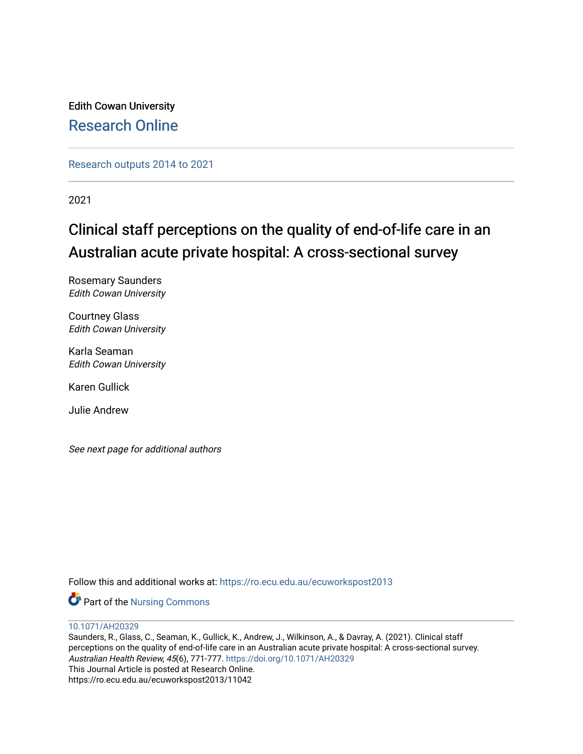Edith Cowan University [Research Online](https://ro.ecu.edu.au/) 

[Research outputs 2014 to 2021](https://ro.ecu.edu.au/ecuworkspost2013) 

2021

# Clinical staff perceptions on the quality of end-of-life care in an Australian acute private hospital: A cross-sectional survey

Rosemary Saunders Edith Cowan University

Courtney Glass Edith Cowan University

Karla Seaman Edith Cowan University

Karen Gullick

Julie Andrew

See next page for additional authors

Follow this and additional works at: [https://ro.ecu.edu.au/ecuworkspost2013](https://ro.ecu.edu.au/ecuworkspost2013?utm_source=ro.ecu.edu.au%2Fecuworkspost2013%2F11042&utm_medium=PDF&utm_campaign=PDFCoverPages) 

Part of the [Nursing Commons](http://network.bepress.com/hgg/discipline/718?utm_source=ro.ecu.edu.au%2Fecuworkspost2013%2F11042&utm_medium=PDF&utm_campaign=PDFCoverPages) 

[10.1071/AH20329](http://dx.doi.org/10.1071/AH20329) 

Saunders, R., Glass, C., Seaman, K., Gullick, K., Andrew, J., Wilkinson, A., & Davray, A. (2021). Clinical staff perceptions on the quality of end-of-life care in an Australian acute private hospital: A cross-sectional survey. Australian Health Review, 45(6), 771-777. <https://doi.org/10.1071/AH20329> This Journal Article is posted at Research Online. https://ro.ecu.edu.au/ecuworkspost2013/11042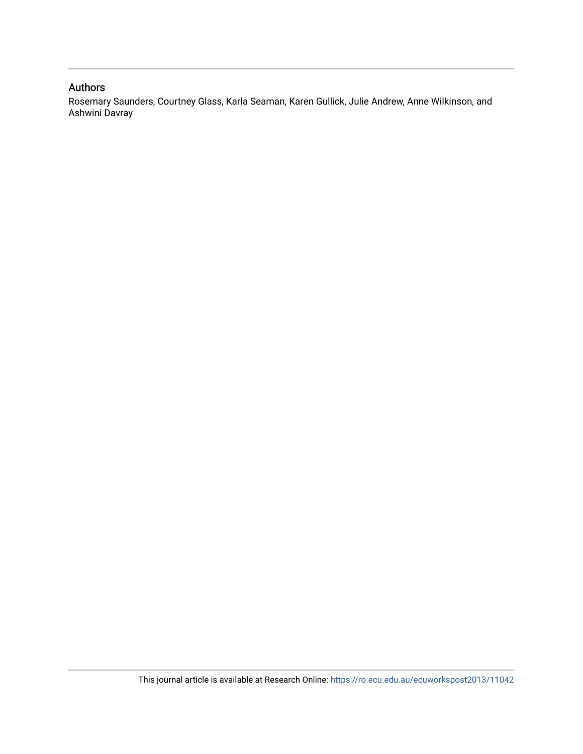## Authors

Rosemary Saunders, Courtney Glass, Karla Seaman, Karen Gullick, Julie Andrew, Anne Wilkinson, and Ashwini Davray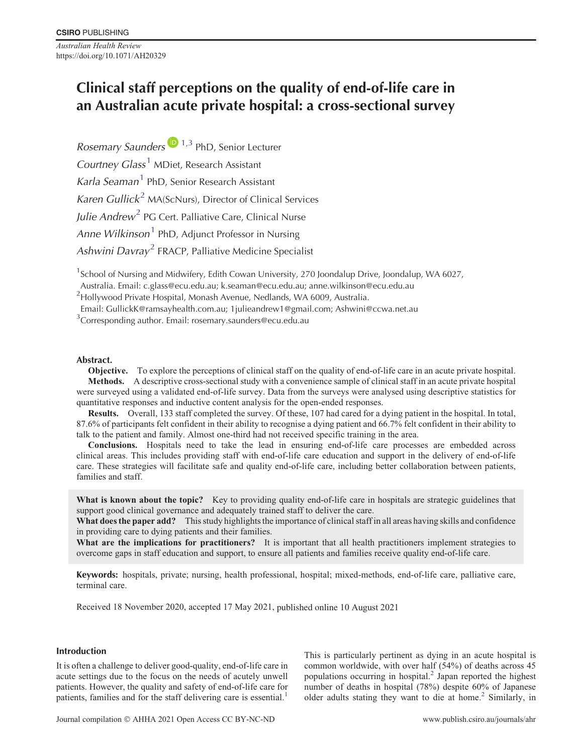*Australian Health Review* https://doi.org/10.1071/AH20329

## **Clinical staff perceptions on the quality of end-of-life care in an Australian acute private hospital: a cross-sectional survey**

*Rosemary Saunders* 1,3 PhD, Senior Lecturer *Courtney Glass*<sup>1</sup> MDiet, Research Assistant *Karla Seaman*<sup>1</sup> PhD, Senior Research Assistant *Karen Gullick*<sup>2</sup> MA(ScNurs), Director of Clinical Services *Julie Andrew*<sup>2</sup> PG Cert. Palliative Care, Clinical Nurse *Anne Wilkinson*<sup>1</sup> PhD, Adjunct Professor in Nursing *Ashwini Davray*<sup>2</sup> FRACP, Palliative Medicine Specialist

<sup>1</sup>School of Nursing and Midwifery, Edith Cowan University, 270 Joondalup Drive, Joondalup, WA 6027,

Australia. Email: c.glass@ecu.edu.au; k.seaman@ecu.edu.au; anne.wilkinson@ecu.edu.au

<sup>2</sup>Hollywood Private Hospital, Monash Avenue, Nedlands, WA 6009, Australia.

Email: GullickK@ramsayhealth.com.au; 1julieandrew1@gmail.com; Ashwini@ccwa.net.au

<sup>3</sup>Corresponding author. Email: rosemary.saunders@ecu.edu.au

## **Abstract.**

**Objective.** To explore the perceptions of clinical staff on the quality of end-of-life care in an acute private hospital. **Methods.** A descriptive cross-sectional study with a convenience sample of clinical staff in an acute private hospital were surveyed using a validated end-of-life survey. Data from the surveys were analysed using descriptive statistics for quantitative responses and inductive content analysis for the open-ended responses.

**Results.** Overall, 133 staff completed the survey. Of these, 107 had cared for a dying patient in the hospital. In total, 87.6% of participants felt confident in their ability to recognise a dying patient and 66.7% felt confident in their ability to talk to the patient and family. Almost one-third had not received specific training in the area.

**Conclusions.** Hospitals need to take the lead in ensuring end-of-life care processes are embedded across clinical areas. This includes providing staff with end-of-life care education and support in the delivery of end-of-life care. These strategies will facilitate safe and quality end-of-life care, including better collaboration between patients, families and staff.

What is known about the topic? Key to providing quality end-of-life care in hospitals are strategic guidelines that support good clinical governance and adequately trained staff to deliver the care.

**What does the paper add?** This study highlights the importance of clinical staff in all areas having skills and confidence in providing care to dying patients and their families.

What are the implications for practitioners? It is important that all health practitioners implement strategies to overcome gaps in staff education and support, to ensure all patients and families receive quality end-of-life care.

**Keywords:** hospitals, private; nursing, health professional, hospital; mixed-methods, end-of-life care, palliative care, terminal care.

Received 18 November 2020, accepted 17 May 2021, published online 10 August 2021

## **Introduction**

It is often a challenge to deliver good-quality, end-of-life care in acute settings due to the focus on the needs of acutely unwell patients. However, the quality and safety of end-of-life care for patients, families and for the staff delivering care is essential.<sup>1</sup>

This is particularly pertinent as dying in an acute hospital is common worldwide, with over half (54%) of deaths across 45 populations occurring in hospital.<sup>2</sup> Japan reported the highest number of deaths in hospital (78%) despite 60% of Japanese older adults stating they want to die at home.<sup>[2](#page-7-0)</sup> Similarly, in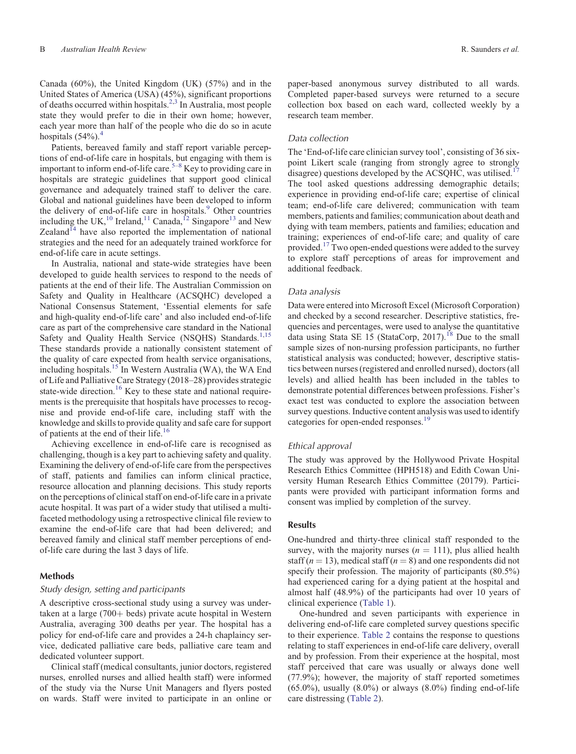Canada (60%), the United Kingdom (UK) (57%) and in the United States of America (USA) (45%), significant proportions of deaths occurred within hospitals.<sup>[2,3](#page-7-0)</sup> In Australia, most people state they would prefer to die in their own home; however, each year more than half of the people who die do so in acute hospitals  $(54\%)$  $(54\%)$  $(54\%)$ <sup>4</sup>

Patients, bereaved family and staff report variable perceptions of end-of-life care in hospitals, but engaging with them is important to inform end-of-life care.  $5-8$  $5-8$  $5-8$  Key to providing care in hospitals are strategic guidelines that support good clinical governance and adequately trained staff to deliver the care. Global and national guidelines have been developed to inform the delivery of end-of-life care in hospitals.<sup>9</sup> Other countries including the UK,<sup>[10](#page-8-0)</sup> Ireland,<sup>11</sup> Canada,<sup>[12](#page-8-0)</sup> Singapore<sup>[13](#page-8-0)</sup> and New Zealand $I<sup>14</sup>$  $I<sup>14</sup>$  $I<sup>14</sup>$  have also reported the implementation of national strategies and the need for an adequately trained workforce for end-of-life care in acute settings.

In Australia, national and state-wide strategies have been developed to guide health services to respond to the needs of patients at the end of their life. The Australian Commission on Safety and Quality in Healthcare (ACSQHC) developed a National Consensus Statement, 'Essential elements for safe and high-quality end-of-life care' and also included end-of-life care as part of the comprehensive care standard in the National Safety and Quality Health Service (NSQHS) Standards.<sup>[1,](#page-7-0)[15](#page-8-0)</sup> These standards provide a nationally consistent statement of the quality of care expected from health service organisations, including hospitals.<sup>15</sup> In Western Australia (WA), the WA End of Life and Palliative Care Strategy (2018–28) provides strategic state-wide direction.<sup>[16](#page-8-0)</sup> Key to these state and national requirements is the prerequisite that hospitals have processes to recognise and provide end-of-life care, including staff with the knowledge and skills to provide quality and safe care for support of patients at the end of their life.[16](#page-8-0)

Achieving excellence in end-of-life care is recognised as challenging, though is a key part to achieving safety and quality. Examining the delivery of end-of-life care from the perspectives of staff, patients and families can inform clinical practice, resource allocation and planning decisions. This study reports on the perceptions of clinical staff on end-of-life care in a private acute hospital. It was part of a wider study that utilised a multifaceted methodology using a retrospective clinical file review to examine the end-of-life care that had been delivered; and bereaved family and clinical staff member perceptions of endof-life care during the last 3 days of life.

#### **Methods**

## *Study design, setting and participants*

A descriptive cross-sectional study using a survey was undertaken at a large  $(700 + \text{beds})$  private acute hospital in Western Australia, averaging 300 deaths per year. The hospital has a policy for end-of-life care and provides a 24-h chaplaincy service, dedicated palliative care beds, palliative care team and dedicated volunteer support.

Clinical staff (medical consultants, junior doctors, registered nurses, enrolled nurses and allied health staff) were informed of the study via the Nurse Unit Managers and flyers posted on wards. Staff were invited to participate in an online or

paper-based anonymous survey distributed to all wards. Completed paper-based surveys were returned to a secure collection box based on each ward, collected weekly by a research team member.

#### *Data collection*

The 'End-of-life care clinician survey tool', consisting of 36 sixpoint Likert scale (ranging from strongly agree to strongly disagree) questions developed by the ACSQHC, was utilised.<sup>17</sup> The tool asked questions addressing demographic details; experience in providing end-of-life care; expertise of clinical team; end-of-life care delivered; communication with team members, patients and families; communication about death and dying with team members, patients and families; education and training; experiences of end-of-life care; and quality of care provided.<sup>[17](#page-8-0)</sup> Two open-ended questions were added to the survey to explore staff perceptions of areas for improvement and additional feedback.

#### *Data analysis*

Data were entered into Microsoft Excel (Microsoft Corporation) and checked by a second researcher. Descriptive statistics, frequencies and percentages, were used to analyse the quantitative data using Stata SE 15 (StataCorp, 2017).<sup>18</sup> Due to the small sample sizes of non-nursing profession participants, no further statistical analysis was conducted; however, descriptive statistics between nurses (registered and enrolled nursed), doctors (all levels) and allied health has been included in the tables to demonstrate potential differences between professions. Fisher's exact test was conducted to explore the association between survey questions. Inductive content analysis was used to identify categories for open-ended responses.<sup>[19](#page-8-0)</sup>

#### *Ethical approval*

The study was approved by the Hollywood Private Hospital Research Ethics Committee (HPH518) and Edith Cowan University Human Research Ethics Committee (20179). Participants were provided with participant information forms and consent was implied by completion of the survey.

#### **Results**

One-hundred and thirty-three clinical staff responded to the survey, with the majority nurses  $(n = 111)$ , plus allied health staff  $(n = 13)$ , medical staff  $(n = 8)$  and one respondents did not specify their profession. The majority of participants (80.5%) had experienced caring for a dying patient at the hospital and almost half (48.9%) of the participants had over 10 years of clinical experience [\(Table 1\)](#page-4-0).

One-hundred and seven participants with experience in delivering end-of-life care completed survey questions specific to their experience. [Table 2](#page-4-0) contains the response to questions relating to staff experiences in end-of-life care delivery, overall and by profession. From their experience at the hospital, most staff perceived that care was usually or always done well (77.9%); however, the majority of staff reported sometimes  $(65.0\%)$ , usually  $(8.0\%)$  or always  $(8.0\%)$  finding end-of-life care distressing [\(Table 2\)](#page-4-0).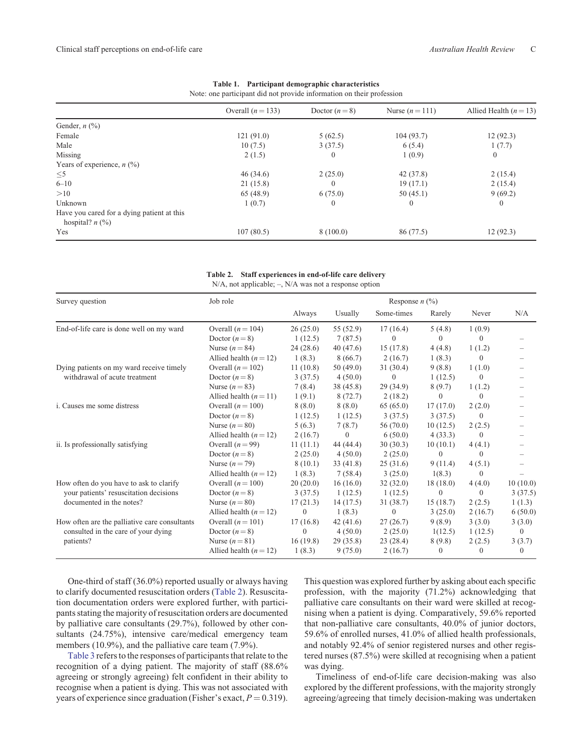<span id="page-4-0"></span>

|                                                                 | Overall $(n = 133)$ | Doctor $(n=8)$ | Nurse $(n=111)$ | Allied Health $(n = 13)$ |
|-----------------------------------------------------------------|---------------------|----------------|-----------------|--------------------------|
| Gender, $n$ $(\%)$                                              |                     |                |                 |                          |
| Female                                                          | 121(91.0)           | 5(62.5)        | 104(93.7)       | 12(92.3)                 |
| Male                                                            | 10(7.5)             | 3(37.5)        | 6(5.4)          | 1(7.7)                   |
| Missing                                                         | 2(1.5)              | $\mathbf{0}$   | 1(0.9)          | $\mathbf{0}$             |
| Years of experience, $n$ (%)                                    |                     |                |                 |                          |
| $\leq 5$                                                        | 46(34.6)            | 2(25.0)        | 42 (37.8)       | 2(15.4)                  |
| $6 - 10$                                                        | 21(15.8)            |                | 19(17.1)        | 2(15.4)                  |
| >10                                                             | 65(48.9)            | 6(75.0)        | 50(45.1)        | 9(69.2)                  |
| Unknown                                                         | 1(0.7)              | $\mathbf{0}$   | $\Omega$        | $\mathbf{0}$             |
| Have you cared for a dying patient at this<br>hospital? $n$ (%) |                     |                |                 |                          |
| Yes                                                             | 107(80.5)           | 8(100.0)       | 86 (77.5)       | 12(92.3)                 |

|  | Table 1. Participant demographic characteristics                      |
|--|-----------------------------------------------------------------------|
|  | Note: one participant did not provide information on their profession |

**Table 2. Staff experiences in end-of-life care delivery**

N/A, not applicable; –, N/A was not a response option

| Survey question                               | Job role                 | Response $n$ (%) |                |              |          |              |          |
|-----------------------------------------------|--------------------------|------------------|----------------|--------------|----------|--------------|----------|
|                                               |                          | Always           | Usually        | Some-times   | Rarely   | Never        | N/A      |
| End-of-life care is done well on my ward      | Overall $(n = 104)$      | 26(25.0)         | 55 (52.9)      | 17(16.4)     | 5(4.8)   | 1(0.9)       |          |
|                                               | Doctor $(n=8)$           | 1(12.5)          | 7(87.5)        | $\theta$     | $\Omega$ | 0            |          |
|                                               | Nurse $(n = 84)$         | 24(28.6)         | 40(47.6)       | 15(17.8)     | 4(4.8)   | 1(1.2)       |          |
|                                               | Allied health $(n = 12)$ | 1(8.3)           | 8(66.7)        | 2(16.7)      | 1(8.3)   | $\theta$     |          |
| Dying patients on my ward receive timely      | Overall $(n = 102)$      | 11(10.8)         | 50(49.0)       | 31(30.4)     | 9(8.8)   | 1(1.0)       |          |
| withdrawal of acute treatment                 | Doctor $(n=8)$           | 3(37.5)          | 4(50.0)        | $\mathbf{0}$ | 1(12.5)  | $\mathbf{0}$ |          |
|                                               | Nurse $(n=83)$           | 7(8.4)           | 38 (45.8)      | 29(34.9)     | 8(9.7)   | 1(1.2)       |          |
|                                               | Allied health $(n = 11)$ | 1(9.1)           | 8(72.7)        | 2(18.2)      | $\Omega$ | $\Omega$     |          |
| <i>i</i> . Causes me some distress            | Overall $(n = 100)$      | 8(8.0)           | 8(8.0)         | 65(65.0)     | 17(17.0) | 2(2.0)       |          |
|                                               | Doctor $(n=8)$           | 1(12.5)          | 1(12.5)        | 3(37.5)      | 3(37.5)  | $\Omega$     |          |
|                                               | Nurse $(n=80)$           | 5(6.3)           | 7(8.7)         | 56(70.0)     | 10(12.5) | 2(2.5)       |          |
|                                               | Allied health $(n = 12)$ | 2(16.7)          | $\overline{0}$ | 6(50.0)      | 4(33.3)  | $\Omega$     |          |
| ii. Is professionally satisfying              | Overall $(n=99)$         | 11(11.1)         | 44 (44.4)      | 30(30.3)     | 10(10.1) | 4(4.1)       |          |
|                                               | Doctor $(n=8)$           | 2(25.0)          | 4(50.0)        | 2(25.0)      | $\Omega$ | $\Omega$     |          |
|                                               | Nurse $(n=79)$           | 8(10.1)          | 33(41.8)       | 25(31.6)     | 9(11.4)  | 4(5.1)       |          |
|                                               | Allied health $(n = 12)$ | 1(8.3)           | 7(58.4)        | 3(25.0)      | 1(8.3)   | $\Omega$     |          |
| How often do you have to ask to clarify       | Overall $(n = 100)$      | 20(20.0)         | 16(16.0)       | 32(32.0)     | 18(18.0) | 4(4.0)       | 10(10.0) |
| your patients' resuscitation decisions        | Doctor $(n=8)$           | 3(37.5)          | 1(12.5)        | 1(12.5)      | $\Omega$ | $\Omega$     | 3(37.5)  |
| documented in the notes?                      | Nurse $(n=80)$           | 17(21.3)         | 14(17.5)       | 31 (38.7)    | 15(18.7) | 2(2.5)       | 1(1.3)   |
|                                               | Allied health $(n = 12)$ | $\Omega$         | 1(8.3)         | $\mathbf{0}$ | 3(25.0)  | 2(16.7)      | 6(50.0)  |
| How often are the palliative care consultants | Overall $(n = 101)$      | 17(16.8)         | 42(41.6)       | 27(26.7)     | 9(8.9)   | 3(3.0)       | 3(3.0)   |
| consulted in the care of your dying           | Doctor $(n=8)$           | $\mathbf{0}$     | 4(50.0)        | 2(25.0)      | 1(12.5)  | 1(12.5)      | $\Omega$ |
| patients?                                     | Nurse $(n=81)$           | 16(19.8)         | 29(35.8)       | 23(28.4)     | 8 (9.8)  | 2(2.5)       | 3(3.7)   |
|                                               | Allied health $(n = 12)$ | 1(8.3)           | 9(75.0)        | 2(16.7)      | $\Omega$ | $\Omega$     | $\Omega$ |

One-third of staff (36.0%) reported usually or always having to clarify documented resuscitation orders (Table 2). Resuscitation documentation orders were explored further, with participants stating the majority of resuscitation orders are documented by palliative care consultants (29.7%), followed by other consultants (24.75%), intensive care/medical emergency team members (10.9%), and the palliative care team (7.9%).

[Table 3](#page-5-0) refers to the responses of participants that relate to the recognition of a dying patient. The majority of staff (88.6% agreeing or strongly agreeing) felt confident in their ability to recognise when a patient is dying. This was not associated with years of experience since graduation (Fisher's exact,  $P = 0.319$ ).

This question was explored further by asking about each specific profession, with the majority (71.2%) acknowledging that palliative care consultants on their ward were skilled at recognising when a patient is dying. Comparatively, 59.6% reported that non-palliative care consultants, 40.0% of junior doctors, 59.6% of enrolled nurses, 41.0% of allied health professionals, and notably 92.4% of senior registered nurses and other registered nurses (87.5%) were skilled at recognising when a patient was dying.

Timeliness of end-of-life care decision-making was also explored by the different professions, with the majority strongly agreeing/agreeing that timely decision-making was undertaken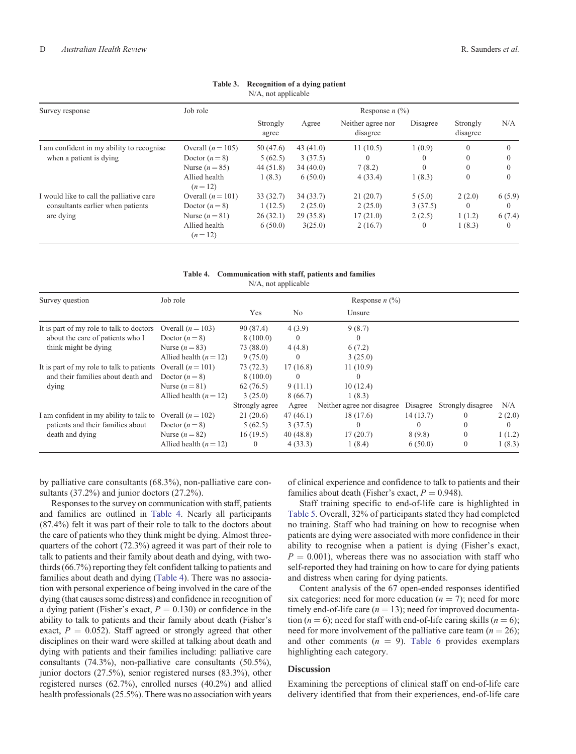<span id="page-5-0"></span>

| $N/A$ , not applicable                         |                           |                   |             |                               |          |                      |          |  |
|------------------------------------------------|---------------------------|-------------------|-------------|-------------------------------|----------|----------------------|----------|--|
| Survey response                                | Job role                  | Response $n$ (%)  |             |                               |          |                      |          |  |
|                                                |                           | Strongly<br>agree | Agree       | Neither agree nor<br>disagree | Disagree | Strongly<br>disagree | N/A      |  |
| I am confident in my ability to recognise      | Overall $(n = 105)$       | 50 (47.6)         | 43 $(41.0)$ | 11(10.5)                      | 1(0.9)   | $\Omega$             | 0        |  |
| when a patient is dying                        | Doctor $(n=8)$            | 5(62.5)           | 3(37.5)     | $\theta$                      | $\bf{0}$ | $\Omega$             |          |  |
|                                                | Nurse $(n=85)$            | 44(51.8)          | 34(40.0)    | 7(8.2)                        | $\Omega$ | $\Omega$             | 0        |  |
|                                                | Allied health<br>$(n=12)$ | 1(8.3)            | 6(50.0)     | 4(33.4)                       | 1(8.3)   | $\mathbf{0}$         | $\Omega$ |  |
| I would like to call the palliative care       | Overall $(n = 101)$       | 33(32.7)          | 34(33.7)    | 21(20.7)                      | 5(5.0)   | 2(2.0)               | 6(5.9)   |  |
| consultants earlier when patients<br>are dying | Doctor $(n=8)$            | 1(12.5)           | 2(25.0)     | 2(25.0)                       | 3(37.5)  | $\theta$             | $\theta$ |  |
|                                                | Nurse $(n=81)$            | 26(32.1)          | 29(35.8)    | 17(21.0)                      | 2(2.5)   | 1(1.2)               | 6(7.4)   |  |
|                                                | Allied health<br>$(n=12)$ | 6(50.0)           | 3(25.0)     | 2(16.7)                       | $\theta$ | 1(8.3)               | 0        |  |

## **Table 3. Recognition of a dying patient**

**Table 4. Communication with staff, patients and families** N/A, not applicable

| Survey question                                      | Job role                 |                |          | Response $n$ (%)           |          |                   |        |
|------------------------------------------------------|--------------------------|----------------|----------|----------------------------|----------|-------------------|--------|
|                                                      |                          | Yes            | No.      | Unsure                     |          |                   |        |
| It is part of my role to talk to doctors             | Overall $(n = 103)$      | 90 (87.4)      | 4(3.9)   | 9(8.7)                     |          |                   |        |
| about the care of patients who I                     | Doctor $(n=8)$           | 8(100.0)       | $\theta$ | $\Omega$                   |          |                   |        |
| think might be dying                                 | Nurse $(n=83)$           | 73 (88.0)      | 4(4.8)   | 6(7.2)                     |          |                   |        |
|                                                      | Allied health $(n = 12)$ | 9(75.0)        | $\theta$ | 3(25.0)                    |          |                   |        |
| It is part of my role to talk to patients            | Overall $(n=101)$        | 73(72.3)       | 17(16.8) | 11(10.9)                   |          |                   |        |
| and their families about death and                   | Doctor $(n=8)$           | 8(100.0)       | $\theta$ | $\Omega$                   |          |                   |        |
| dying                                                | Nurse $(n=81)$           | 62(76.5)       | 9(11.1)  | 10(12.4)                   |          |                   |        |
|                                                      | Allied health $(n = 12)$ | 3(25.0)        | 8(66.7)  | 1(8.3)                     |          |                   |        |
|                                                      |                          | Strongly agree | Agree    | Neither agree nor disagree | Disagree | Strongly disagree | N/A    |
| I am confident in my ability to talk to              | Overall $(n = 102)$      | 21(20.6)       | 47(46.1) | 18(17.6)                   | 14(13.7) | $\theta$          | 2(2.0) |
| patients and their families about<br>death and dying | Doctor $(n=8)$           | 5(62.5)        | 3(37.5)  | $\theta$                   | 0        | $\Omega$          |        |
|                                                      | Nurse $(n=82)$           | 16(19.5)       | 40(48.8) | 17(20.7)                   | 8(9.8)   | $\mathbf{0}$      | 1(1.2) |
|                                                      | Allied health $(n = 12)$ | $\theta$       | 4(33.3)  | 1(8.4)                     | 6(50.0)  | $\mathbf{0}$      | 1(8.3) |

by palliative care consultants (68.3%), non-palliative care consultants (37.2%) and junior doctors (27.2%).

Responses to the survey on communication with staff, patients and families are outlined in Table 4. Nearly all participants (87.4%) felt it was part of their role to talk to the doctors about the care of patients who they think might be dying. Almost threequarters of the cohort (72.3%) agreed it was part of their role to talk to patients and their family about death and dying, with twothirds (66.7%) reporting they felt confident talking to patients and families about death and dying (Table 4). There was no association with personal experience of being involved in the care of the dying (that causes some distress) and confidence in recognition of a dying patient (Fisher's exact,  $P = 0.130$ ) or confidence in the ability to talk to patients and their family about death (Fisher's exact,  $P = 0.052$ ). Staff agreed or strongly agreed that other disciplines on their ward were skilled at talking about death and dying with patients and their families including: palliative care consultants (74.3%), non-palliative care consultants (50.5%), junior doctors (27.5%), senior registered nurses (83.3%), other registered nurses (62.7%), enrolled nurses (40.2%) and allied health professionals (25.5%). There was no association with years of clinical experience and confidence to talk to patients and their families about death (Fisher's exact,  $P = 0.948$ ).

Staff training specific to end-of-life care is highlighted in [Table 5](#page-6-0). Overall, 32% of participants stated they had completed no training. Staff who had training on how to recognise when patients are dying were associated with more confidence in their ability to recognise when a patient is dying (Fisher's exact,  $P = 0.001$ , whereas there was no association with staff who self-reported they had training on how to care for dying patients and distress when caring for dying patients.

Content analysis of the 67 open-ended responses identified six categories: need for more education  $(n = 7)$ ; need for more timely end-of-life care  $(n = 13)$ ; need for improved documentation ( $n = 6$ ); need for staff with end-of-life caring skills ( $n = 6$ ); need for more involvement of the palliative care team  $(n = 26)$ ; and other comments  $(n = 9)$ . [Table 6](#page-6-0) provides exemplars highlighting each category.

## **Discussion**

Examining the perceptions of clinical staff on end-of-life care delivery identified that from their experiences, end-of-life care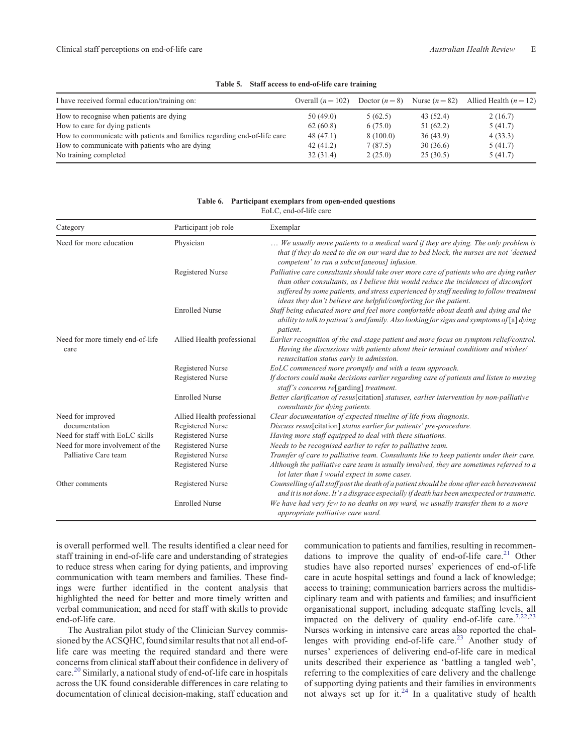<span id="page-6-0"></span>

| I have received formal education/training on:                            | Overall $(n = 102)$ | Doctor $(n=8)$ | Nurse $(n=82)$ | Allied Health $(n = 12)$ |
|--------------------------------------------------------------------------|---------------------|----------------|----------------|--------------------------|
| How to recognise when patients are dying                                 | 50(49.0)            | 5(62.5)        | 43 (52.4)      | 2(16.7)                  |
| How to care for dying patients                                           | 62(60.8)            | 6(75.0)        | 51(62.2)       | 5(41.7)                  |
| How to communicate with patients and families regarding end-of-life care | 48 (47.1)           | 8(100.0)       | 36(43.9)       | 4(33.3)                  |
| How to communicate with patients who are dying                           | 42(41.2)            | 7(87.5)        | 30(36.6)       | 5(41.7)                  |
| No training completed                                                    | 32(31.4)            | 2(25.0)        | 25(30.5)       | 5(41.7)                  |

#### **Table 5. Staff access to end-of-life care training**

| Category                                 | Participant job role       | Exemplar                                                                                                                                                                                                                                                                                                                                     |  |  |  |
|------------------------------------------|----------------------------|----------------------------------------------------------------------------------------------------------------------------------------------------------------------------------------------------------------------------------------------------------------------------------------------------------------------------------------------|--|--|--|
| Need for more education                  | Physician                  | We usually move patients to a medical ward if they are dying. The only problem is<br>that if they do need to die on our ward due to bed block, the nurses are not 'deemed<br>competent' to run a subcut[aneous] infusion.                                                                                                                    |  |  |  |
|                                          | Registered Nurse           | Palliative care consultants should take over more care of patients who are dying rather<br>than other consultants, as I believe this would reduce the incidences of discomfort<br>suffered by some patients, and stress experienced by staff needing to follow treatment<br>ideas they don't believe are helpful/comforting for the patient. |  |  |  |
|                                          | <b>Enrolled Nurse</b>      | Staff being educated more and feel more comfortable about death and dying and the<br>ability to talk to patient's and family. Also looking for signs and symptoms of [a] dying<br>patient.                                                                                                                                                   |  |  |  |
| Need for more timely end-of-life<br>care | Allied Health professional | Earlier recognition of the end-stage patient and more focus on symptom relief/control.<br>Having the discussions with patients about their terminal conditions and wishes/<br>resuscitation status early in admission.                                                                                                                       |  |  |  |
|                                          | Registered Nurse           | EoLC commenced more promptly and with a team approach.                                                                                                                                                                                                                                                                                       |  |  |  |
|                                          | Registered Nurse           | If doctors could make decisions earlier regarding care of patients and listen to nursing<br>staff's concerns re[garding] treatment.                                                                                                                                                                                                          |  |  |  |
|                                          | <b>Enrolled Nurse</b>      | Better clarification of resus[citation] statuses, earlier intervention by non-palliative<br>consultants for dying patients.                                                                                                                                                                                                                  |  |  |  |
| Need for improved                        | Allied Health professional | Clear documentation of expected timeline of life from diagnosis.                                                                                                                                                                                                                                                                             |  |  |  |
| documentation                            | Registered Nurse           | Discuss resus[citation] status earlier for patients' pre-procedure.                                                                                                                                                                                                                                                                          |  |  |  |
| Need for staff with EoLC skills          | Registered Nurse           | Having more staff equipped to deal with these situations.                                                                                                                                                                                                                                                                                    |  |  |  |
| Need for more involvement of the         | Registered Nurse           | Needs to be recognised earlier to refer to palliative team.                                                                                                                                                                                                                                                                                  |  |  |  |
| Palliative Care team                     | Registered Nurse           | Transfer of care to palliative team. Consultants like to keep patients under their care.                                                                                                                                                                                                                                                     |  |  |  |
|                                          | Registered Nurse           | Although the palliative care team is usually involved, they are sometimes referred to a<br>lot later than I would expect in some cases.                                                                                                                                                                                                      |  |  |  |
| Other comments                           | Registered Nurse           | Counselling of all staff post the death of a patient should be done after each bereavement<br>and it is not done. It's a disgrace especially if death has been unexpected or traumatic.                                                                                                                                                      |  |  |  |
|                                          | <b>Enrolled Nurse</b>      | We have had very few to no deaths on my ward, we usually transfer them to a more<br>appropriate palliative care ward.                                                                                                                                                                                                                        |  |  |  |

#### **Table 6. Participant exemplars from open-ended questions** EoLC, end-of-life care

is overall performed well. The results identified a clear need for staff training in end-of-life care and understanding of strategies to reduce stress when caring for dying patients, and improving communication with team members and families. These findings were further identified in the content analysis that highlighted the need for better and more timely written and verbal communication; and need for staff with skills to provide end-of-life care.

The Australian pilot study of the Clinician Survey commissioned by the ACSQHC, found similar results that not all end-oflife care was meeting the required standard and there were concerns from clinical staff about their confidence in delivery of care.[20](#page-8-0) Similarly, a national study of end-of-life care in hospitals across the UK found considerable differences in care relating to documentation of clinical decision-making, staff education and

communication to patients and families, resulting in recommendations to improve the quality of end-of-life care.<sup>21</sup> Other studies have also reported nurses' experiences of end-of-life care in acute hospital settings and found a lack of knowledge; access to training; communication barriers across the multidisciplinary team and with patients and families; and insufficient organisational support, including adequate staffing levels, all impacted on the delivery of quality end-of-life care.<sup>[7,22,23](#page-8-0)</sup> Nurses working in intensive care areas also reported the chal-lenges with providing end-of-life care.<sup>[23](#page-8-0)</sup> Another study of nurses' experiences of delivering end-of-life care in medical units described their experience as 'battling a tangled web', referring to the complexities of care delivery and the challenge of supporting dying patients and their families in environments not always set up for it. $^{24}$  In a qualitative study of health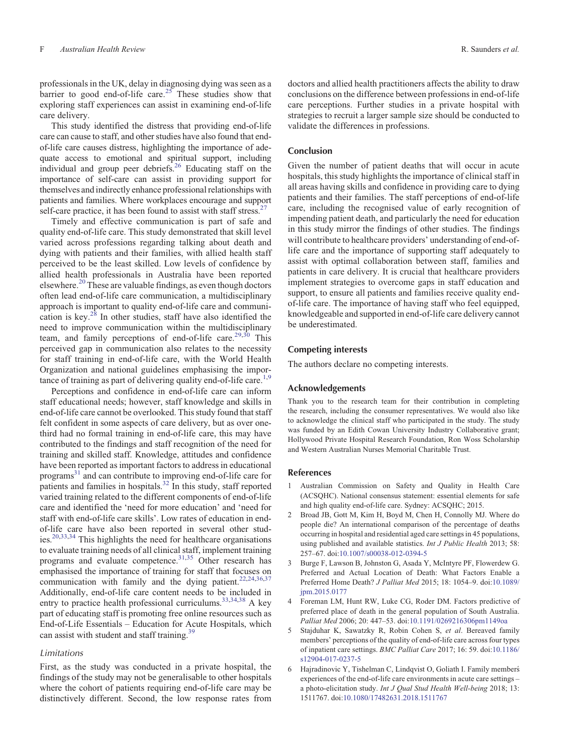<span id="page-7-0"></span>professionals in the UK, delay in diagnosing dying was seen as a barrier to good end-of-life care.<sup>[25](#page-8-0)</sup> These studies show that exploring staff experiences can assist in examining end-of-life care delivery.

This study identified the distress that providing end-of-life care can cause to staff, and other studies have also found that endof-life care causes distress, highlighting the importance of adequate access to emotional and spiritual support, including individual and group peer debriefs[.26](#page-8-0) Educating staff on the importance of self-care can assist in providing support for themselves and indirectly enhance professional relationships with patients and families. Where workplaces encourage and support self-care practice, it has been found to assist with staff stress.<sup>2</sup>

Timely and effective communication is part of safe and quality end-of-life care. This study demonstrated that skill level varied across professions regarding talking about death and dying with patients and their families, with allied health staff perceived to be the least skilled. Low levels of confidence by allied health professionals in Australia have been reported elsewhere.<sup>[20](#page-8-0)</sup> These are valuable findings, as even though doctors often lead end-of-life care communication, a multidisciplinary approach is important to quality end-of-life care and communication is key. $2^8$  In other studies, staff have also identified the need to improve communication within the multidisciplinary team, and family perceptions of end-of-life care.<sup>[29,30](#page-8-0)</sup> This perceived gap in communication also relates to the necessity for staff training in end-of-life care, with the World Health Organization and national guidelines emphasising the impor-tance of training as part of delivering quality end-of-life care.<sup>1[,9](#page-8-0)</sup>

Perceptions and confidence in end-of-life care can inform staff educational needs; however, staff knowledge and skills in end-of-life care cannot be overlooked. This study found that staff felt confident in some aspects of care delivery, but as over onethird had no formal training in end-of-life care, this may have contributed to the findings and staff recognition of the need for training and skilled staff. Knowledge, attitudes and confidence have been reported as important factors to address in educational programs<sup>31</sup> and can contribute to improving end-of-life care for patients and families in hospitals.<sup>32</sup> In this study, staff reported varied training related to the different components of end-of-life care and identified the 'need for more education' and 'need for staff with end-of-life care skills'. Low rates of education in endof-life care have also been reported in several other studies.[20,33,34](#page-8-0) This highlights the need for healthcare organisations to evaluate training needs of all clinical staff, implement training programs and evaluate competence. $^{31,35}$  $^{31,35}$  $^{31,35}$  Other research has emphasised the importance of training for staff that focuses on communication with family and the dying patient.<sup>22,24,[36,37](#page-8-0)</sup> Additionally, end-of-life care content needs to be included in entry to practice health professional curriculums[.33,34](#page-8-0),[38](#page-8-0) A key part of educating staff is promoting free online resources such as End-of-Life Essentials – Education for Acute Hospitals, which can assist with student and staff training.<sup>[39](#page-8-0)</sup>

#### *Limitations*

First, as the study was conducted in a private hospital, the findings of the study may not be generalisable to other hospitals where the cohort of patients requiring end-of-life care may be distinctively different. Second, the low response rates from

doctors and allied health practitioners affects the ability to draw conclusions on the difference between professions in end-of-life care perceptions. Further studies in a private hospital with strategies to recruit a larger sample size should be conducted to validate the differences in professions.

## **Conclusion**

Given the number of patient deaths that will occur in acute hospitals, this study highlights the importance of clinical staff in all areas having skills and confidence in providing care to dying patients and their families. The staff perceptions of end-of-life care, including the recognised value of early recognition of impending patient death, and particularly the need for education in this study mirror the findings of other studies. The findings will contribute to healthcare providers' understanding of end-oflife care and the importance of supporting staff adequately to assist with optimal collaboration between staff, families and patients in care delivery. It is crucial that healthcare providers implement strategies to overcome gaps in staff education and support, to ensure all patients and families receive quality endof-life care. The importance of having staff who feel equipped, knowledgeable and supported in end-of-life care delivery cannot be underestimated.

#### **Competing interests**

The authors declare no competing interests.

#### **Acknowledgements**

Thank you to the research team for their contribution in completing the research, including the consumer representatives. We would also like to acknowledge the clinical staff who participated in the study. The study was funded by an Edith Cowan University Industry Collaborative grant; Hollywood Private Hospital Research Foundation, Ron Woss Scholarship and Western Australian Nurses Memorial Charitable Trust.

#### **References**

- 1 Australian Commission on Safety and Quality in Health Care (ACSQHC). National consensus statement: essential elements for safe and high quality end-of-life care. Sydney: ACSQHC; 2015.
- 2 Broad JB, Gott M, Kim H, Boyd M, Chen H, Connolly MJ. Where do people die? An international comparison of the percentage of deaths occurring in hospital and residential aged care settings in 45 populations, using published and available statistics. *Int J Public Health* 2013; 58: 257–67. doi:[10.1007/s00038-012-0394-5](http://dx.doi.org/10.1007/s00038-012-0394-5)
- 3 Burge F, Lawson B, Johnston G, Asada Y, McIntyre PF, Flowerdew G. Preferred and Actual Location of Death: What Factors Enable a Preferred Home Death? *J Palliat Med* 2015; 18: 1054–9. doi[:10.1089/](http://dx.doi.org/10.1089/jpm.2015.0177) ipm.2015.0177
- 4 Foreman LM, Hunt RW, Luke CG, Roder DM. Factors predictive of preferred place of death in the general population of South Australia. *Palliat Med* 2006; 20: 447–53. doi[:10.1191/0269216306pm1149oa](http://dx.doi.org/10.1191/0269216306pm1149oa)
- 5 Stajduhar K, Sawatzky R, Robin Cohen S, *et al*. Bereaved family members' perceptions of the quality of end-of-life care across four types of inpatient care settings. *BMC Palliat Care* 2017; 16: 59. doi[:10.1186/](http://dx.doi.org/10.1186/s12904-017-0237-5) [s12904-017-0237-5](http://dx.doi.org/10.1186/s12904-017-0237-5)
- 6 Hajradinovic Y, Tishelman C, Lindqvist O, Goliath I. Family members´ experiences of the end-of-life care environments in acute care settings – a photo-elicitation study. *Int J Qual Stud Health Well-being* 2018; 13: 1511767. doi:[10.1080/17482631.2018.1511767](http://dx.doi.org/10.1080/17482631.2018.1511767)